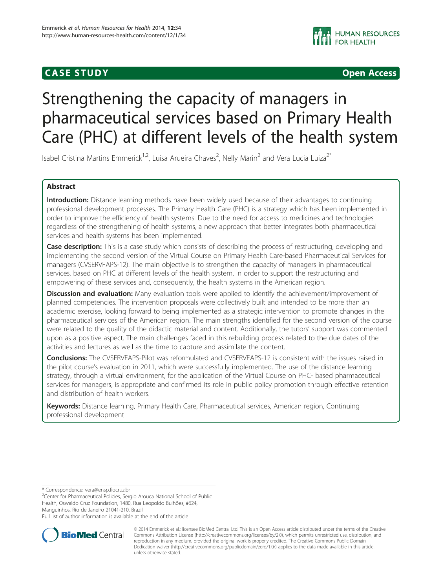# **CASE STUDY CASE STUDY Open Access**

# Strengthening the capacity of managers in pharmaceutical services based on Primary Health Care (PHC) at different levels of the health system

Isabel Cristina Martins Emmerick<sup>1,2</sup>, Luisa Arueira Chaves<sup>2</sup>, Nelly Marin<sup>2</sup> and Vera Lucia Luiza<sup>2\*</sup>

# Abstract

Introduction: Distance learning methods have been widely used because of their advantages to continuing professional development processes. The Primary Health Care (PHC) is a strategy which has been implemented in order to improve the efficiency of health systems. Due to the need for access to medicines and technologies regardless of the strengthening of health systems, a new approach that better integrates both pharmaceutical services and health systems has been implemented.

**Case description:** This is a case study which consists of describing the process of restructuring, developing and implementing the second version of the Virtual Course on Primary Health Care-based Pharmaceutical Services for managers (CVSERVFAPS-12). The main objective is to strengthen the capacity of managers in pharmaceutical services, based on PHC at different levels of the health system, in order to support the restructuring and empowering of these services and, consequently, the health systems in the American region.

**Discussion and evaluation:** Many evaluation tools were applied to identify the achievement/improvement of planned competencies. The intervention proposals were collectively built and intended to be more than an academic exercise, looking forward to being implemented as a strategic intervention to promote changes in the pharmaceutical services of the American region. The main strengths identified for the second version of the course were related to the quality of the didactic material and content. Additionally, the tutors' support was commented upon as a positive aspect. The main challenges faced in this rebuilding process related to the due dates of the activities and lectures as well as the time to capture and assimilate the content.

Conclusions: The CVSERVFAPS-Pilot was reformulated and CVSERVFAPS-12 is consistent with the issues raised in the pilot course's evaluation in 2011, which were successfully implemented. The use of the distance learning strategy, through a virtual environment, for the application of the Virtual Course on PHC- based pharmaceutical services for managers, is appropriate and confirmed its role in public policy promotion through effective retention and distribution of health workers.

Keywords: Distance learning, Primary Health Care, Pharmaceutical services, American region, Continuing professional development

\* Correspondence: [vera@ensp.fiocruz.br](mailto:vera@ensp.fiocruz.br) <sup>2</sup>

<sup>2</sup>Center for Pharmaceutical Policies, Sergio Arouca National School of Public Health, Oswaldo Cruz Foundation, 1480, Rua Leopoldo Bulhões, #624, Manguinhos, Rio de Janeiro 21041-210, Brazil

Full list of author information is available at the end of the article



© 2014 Emmerick et al.; licensee BioMed Central Ltd. This is an Open Access article distributed under the terms of the Creative Commons Attribution License [\(http://creativecommons.org/licenses/by/2.0\)](http://creativecommons.org/licenses/by/2.0), which permits unrestricted use, distribution, and reproduction in any medium, provided the original work is properly credited. The Creative Commons Public Domain Dedication waiver [\(http://creativecommons.org/publicdomain/zero/1.0/](http://creativecommons.org/publicdomain/zero/1.0/)) applies to the data made available in this article, unless otherwise stated.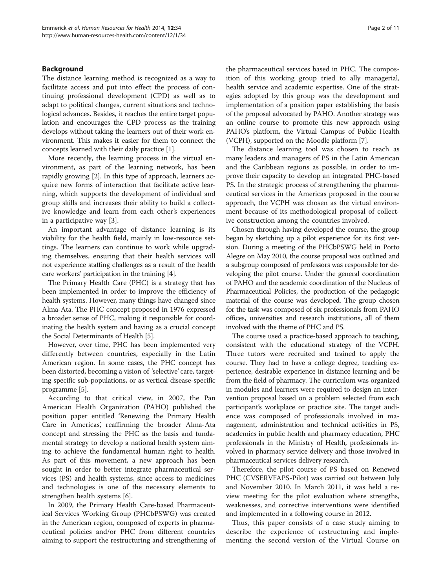# Background

The distance learning method is recognized as a way to facilitate access and put into effect the process of continuing professional development (CPD) as well as to adapt to political changes, current situations and technological advances. Besides, it reaches the entire target population and encourages the CPD process as the training develops without taking the learners out of their work environment. This makes it easier for them to connect the concepts learned with their daily practice [[1\]](#page-10-0).

More recently, the learning process in the virtual environment, as part of the learning network, has been rapidly growing [[2\]](#page-10-0). In this type of approach, learners acquire new forms of interaction that facilitate active learning, which supports the development of individual and group skills and increases their ability to build a collective knowledge and learn from each other's experiences in a participative way [[3\]](#page-10-0).

An important advantage of distance learning is its viability for the health field, mainly in low-resource settings. The learners can continue to work while upgrading themselves, ensuring that their health services will not experience staffing challenges as a result of the health care workers' participation in the training [\[4\]](#page-10-0).

The Primary Health Care (PHC) is a strategy that has been implemented in order to improve the efficiency of health systems. However, many things have changed since Alma-Ata. The PHC concept proposed in 1976 expressed a broader sense of PHC, making it responsible for coordinating the health system and having as a crucial concept the Social Determinants of Health [[5](#page-10-0)].

However, over time, PHC has been implemented very differently between countries, especially in the Latin American region. In some cases, the PHC concept has been distorted, becoming a vision of 'selective' care, targeting specific sub-populations, or as vertical disease-specific programme [\[5](#page-10-0)].

According to that critical view, in 2007, the Pan American Health Organization (PAHO) published the position paper entitled 'Renewing the Primary Health Care in Americas', reaffirming the broader Alma-Ata concept and stressing the PHC as the basis and fundamental strategy to develop a national health system aiming to achieve the fundamental human right to health. As part of this movement, a new approach has been sought in order to better integrate pharmaceutical services (PS) and health systems, since access to medicines and technologies is one of the necessary elements to strengthen health systems [[6\]](#page-10-0).

In 2009, the Primary Health Care-based Pharmaceutical Services Working Group (PHCbPSWG) was created in the American region, composed of experts in pharmaceutical policies and/or PHC from different countries aiming to support the restructuring and strengthening of

the pharmaceutical services based in PHC. The composition of this working group tried to ally managerial, health service and academic expertise. One of the strategies adopted by this group was the development and implementation of a position paper establishing the basis of the proposal advocated by PAHO. Another strategy was an online course to promote this new approach using PAHO's platform, the Virtual Campus of Public Health (VCPH), supported on the Moodle platform [[7\]](#page-10-0).

The distance learning tool was chosen to reach as many leaders and managers of PS in the Latin American and the Caribbean regions as possible, in order to improve their capacity to develop an integrated PHC-based PS. In the strategic process of strengthening the pharmaceutical services in the Americas proposed in the course approach, the VCPH was chosen as the virtual environment because of its methodological proposal of collective construction among the countries involved.

Chosen through having developed the course, the group began by sketching up a pilot experience for its first version. During a meeting of the PHCbPSWG held in Porto Alegre on May 2010, the course proposal was outlined and a subgroup composed of professors was responsible for developing the pilot course. Under the general coordination of PAHO and the academic coordination of the Nucleus of Pharmaceutical Policies, the production of the pedagogic material of the course was developed. The group chosen for the task was composed of six professionals from PAHO offices, universities and research institutions, all of them involved with the theme of PHC and PS.

The course used a practice-based approach to teaching, consistent with the educational strategy of the VCPH. Three tutors were recruited and trained to apply the course. They had to have a college degree, teaching experience, desirable experience in distance learning and be from the field of pharmacy. The curriculum was organized in modules and learners were required to design an intervention proposal based on a problem selected from each participant's workplace or practice site. The target audience was composed of professionals involved in management, administration and technical activities in PS, academics in public health and pharmacy education, PHC professionals in the Ministry of Health, professionals involved in pharmacy service delivery and those involved in pharmaceutical services delivery research.

Therefore, the pilot course of PS based on Renewed PHC (CVSERVFAPS-Pilot) was carried out between July and November 2010. In March 2011, it was held a review meeting for the pilot evaluation where strengths, weaknesses, and corrective interventions were identified and implemented in a following course in 2012.

Thus, this paper consists of a case study aiming to describe the experience of restructuring and implementing the second version of the Virtual Course on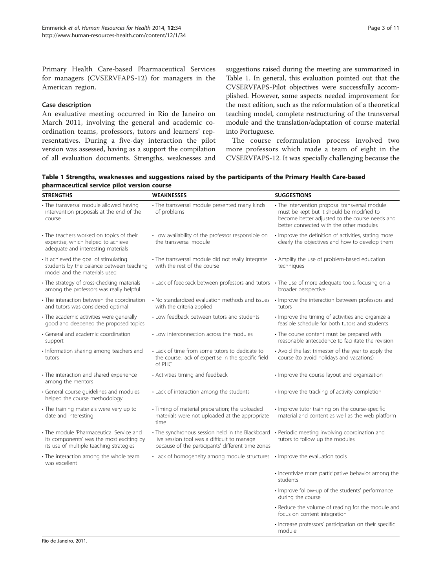Primary Health Care-based Pharmaceutical Services for managers (CVSERVFAPS-12) for managers in the American region.

# Case description

An evaluative meeting occurred in Rio de Janeiro on March 2011, involving the general and academic coordination teams, professors, tutors and learners' representatives. During a five-day interaction the pilot version was assessed, having as a support the compilation of all evaluation documents. Strengths, weaknesses and

suggestions raised during the meeting are summarized in Table 1. In general, this evaluation pointed out that the CVSERVFAPS-Pilot objectives were successfully accomplished. However, some aspects needed improvement for the next edition, such as the reformulation of a theoretical teaching model, complete restructuring of the transversal module and the translation/adaptation of course material into Portuguese.

The course reformulation process involved two more professors which made a team of eight in the CVSERVFAPS-12. It was specially challenging because the

Table 1 Strengths, weaknesses and suggestions raised by the participants of the Primary Health Care-based pharmaceutical service pilot version course

| <b>STRENGTHS</b>                                                                                                                | <b>WEAKNESSES</b>                                                                                                                                    | <b>SUGGESTIONS</b>                                                                                                                                                                       |
|---------------------------------------------------------------------------------------------------------------------------------|------------------------------------------------------------------------------------------------------------------------------------------------------|------------------------------------------------------------------------------------------------------------------------------------------------------------------------------------------|
| • The transversal module allowed having<br>intervention proposals at the end of the<br>course                                   | · The transversal module presented many kinds<br>of problems                                                                                         | · The intervention proposal transversal module<br>must be kept but it should be modified to<br>become better adjusted to the course needs and<br>better connected with the other modules |
| • The teachers worked on topics of their<br>expertise, which helped to achieve<br>adequate and interesting materials            | • Low availability of the professor responsible on<br>the transversal module                                                                         | · Improve the definition of activities, stating more<br>clearly the objectives and how to develop them                                                                                   |
| • It achieved the goal of stimulating<br>students by the balance between teaching<br>model and the materials used               | • The transversal module did not really integrate<br>with the rest of the course                                                                     | • Amplify the use of problem-based education<br>techniques                                                                                                                               |
| • The strategy of cross-checking materials<br>among the professors was really helpful                                           | • Lack of feedback between professors and tutors • The use of more adequate tools, focusing on a                                                     | broader perspective                                                                                                                                                                      |
| · The interaction between the coordination<br>and tutors was considered optimal                                                 | • No standardized evaluation methods and issues<br>with the criteria applied                                                                         | • Improve the interaction between professors and<br>tutors                                                                                                                               |
| · The academic activities were generally<br>good and deepened the proposed topics                                               | • Low feedback between tutors and students                                                                                                           | · Improve the timing of activities and organize a<br>feasible schedule for both tutors and students                                                                                      |
| • General and academic coordination<br>support                                                                                  | • Low interconnection across the modules                                                                                                             | • The course content must be prepared with<br>reasonable antecedence to facilitate the revision                                                                                          |
| · Information sharing among teachers and<br>tutors                                                                              | • Lack of time from some tutors to dedicate to<br>the course, lack of expertise in the specific field<br>of PHC                                      | • Avoid the last trimester of the year to apply the<br>course (to avoid holidays and vacations)                                                                                          |
| • The interaction and shared experience<br>among the mentors                                                                    | • Activities timing and feedback                                                                                                                     | • Improve the course layout and organization                                                                                                                                             |
| · General course guidelines and modules<br>helped the course methodology                                                        | • Lack of interaction among the students                                                                                                             | · Improve the tracking of activity completion                                                                                                                                            |
| · The training materials were very up to<br>date and interesting                                                                | · Timing of material preparation; the uploaded<br>materials were not uploaded at the appropriate<br>time                                             | • Improve tutor training on the course-specific<br>material and content as well as the web platform                                                                                      |
| • The module 'Pharmaceutical Service and<br>its components' was the most exciting by<br>its use of multiple teaching strategies | · The synchronous session held in the Blackboard<br>live session tool was a difficult to manage<br>because of the participants' different time zones | • Periodic meeting involving coordination and<br>tutors to follow up the modules                                                                                                         |
| • The interaction among the whole team<br>was excellent                                                                         | • Lack of homogeneity among module structures                                                                                                        | • Improve the evaluation tools                                                                                                                                                           |
|                                                                                                                                 |                                                                                                                                                      | • Incentivize more participative behavior among the<br>students                                                                                                                          |
|                                                                                                                                 |                                                                                                                                                      | · Improve follow-up of the students' performance<br>during the course                                                                                                                    |
|                                                                                                                                 |                                                                                                                                                      | • Reduce the volume of reading for the module and<br>focus on content integration                                                                                                        |
|                                                                                                                                 |                                                                                                                                                      |                                                                                                                                                                                          |

• Increase professors' participation on their specific module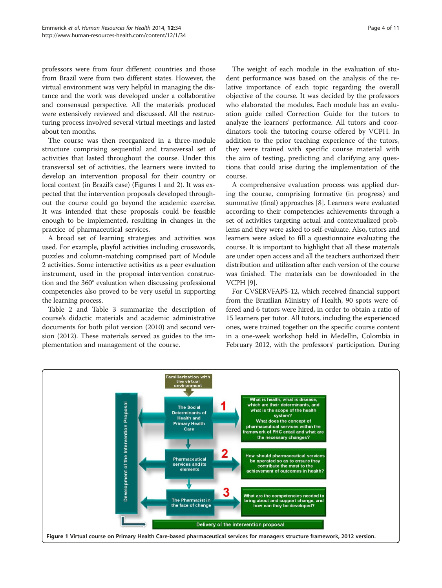professors were from four different countries and those from Brazil were from two different states. However, the virtual environment was very helpful in managing the distance and the work was developed under a collaborative and consensual perspective. All the materials produced were extensively reviewed and discussed. All the restructuring process involved several virtual meetings and lasted about ten months.

The course was then reorganized in a three-module structure comprising sequential and transversal set of activities that lasted throughout the course. Under this transversal set of activities, the learners were invited to develop an intervention proposal for their country or local context (in Brazil's case) (Figures 1 and [2](#page-4-0)). It was expected that the intervention proposals developed throughout the course could go beyond the academic exercise. It was intended that these proposals could be feasible enough to be implemented, resulting in changes in the practice of pharmaceutical services.

A broad set of learning strategies and activities was used. For example, playful activities including crosswords, puzzles and column-matching comprised part of Module 2 activities. Some interactive activities as a peer evaluation instrument, used in the proposal intervention construction and the 360° evaluation when discussing professional competencies also proved to be very useful in supporting the learning process.

Table [2](#page-5-0) and Table [3](#page-6-0) summarize the description of course's didactic materials and academic administrative documents for both pilot version (2010) and second version (2012). These materials served as guides to the implementation and management of the course.

The weight of each module in the evaluation of student performance was based on the analysis of the relative importance of each topic regarding the overall objective of the course. It was decided by the professors who elaborated the modules. Each module has an evaluation guide called Correction Guide for the tutors to analyze the learners' performance. All tutors and coordinators took the tutoring course offered by VCPH. In addition to the prior teaching experience of the tutors, they were trained with specific course material with the aim of testing, predicting and clarifying any questions that could arise during the implementation of the course.

A comprehensive evaluation process was applied during the course, comprising formative (in progress) and summative (final) approaches [[8](#page-10-0)]. Learners were evaluated according to their competencies achievements through a set of activities targeting actual and contextualized problems and they were asked to self-evaluate. Also, tutors and learners were asked to fill a questionnaire evaluating the course. It is important to highlight that all these materials are under open access and all the teachers authorized their distribution and utilization after each version of the course was finished. The materials can be downloaded in the VCPH [[9](#page-10-0)].

For CVSERVFAPS-12, which received financial support from the Brazilian Ministry of Health, 90 spots were offered and 6 tutors were hired, in order to obtain a ratio of 15 learners per tutor. All tutors, including the experienced ones, were trained together on the specific course content in a one-week workshop held in Medellin, Colombia in February 2012, with the professors' participation. During

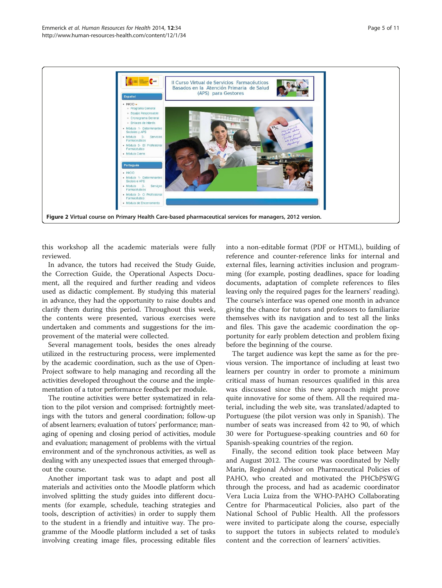<span id="page-4-0"></span>

this workshop all the academic materials were fully reviewed.

In advance, the tutors had received the Study Guide, the Correction Guide, the Operational Aspects Document, all the required and further reading and videos used as didactic complement. By studying this material in advance, they had the opportunity to raise doubts and clarify them during this period. Throughout this week, the contents were presented, various exercises were undertaken and comments and suggestions for the improvement of the material were collected.

Several management tools, besides the ones already utilized in the restructuring process, were implemented by the academic coordination, such as the use of Open-Project software to help managing and recording all the activities developed throughout the course and the implementation of a tutor performance feedback per module.

The routine activities were better systematized in relation to the pilot version and comprised: fortnightly meetings with the tutors and general coordination; follow-up of absent learners; evaluation of tutors' performance; managing of opening and closing period of activities, module and evaluation; management of problems with the virtual environment and of the synchronous activities, as well as dealing with any unexpected issues that emerged throughout the course.

Another important task was to adapt and post all materials and activities onto the Moodle platform which involved splitting the study guides into different documents (for example, schedule, teaching strategies and tools, description of activities) in order to supply them to the student in a friendly and intuitive way. The programme of the Moodle platform included a set of tasks involving creating image files, processing editable files into a non-editable format (PDF or HTML), building of reference and counter-reference links for internal and external files, learning activities inclusion and programming (for example, posting deadlines, space for loading documents, adaptation of complete references to files leaving only the required pages for the learners' reading). The course's interface was opened one month in advance giving the chance for tutors and professors to familiarize themselves with its navigation and to test all the links and files. This gave the academic coordination the opportunity for early problem detection and problem fixing before the beginning of the course.

The target audience was kept the same as for the previous version. The importance of including at least two learners per country in order to promote a minimum critical mass of human resources qualified in this area was discussed since this new approach might prove quite innovative for some of them. All the required material, including the web site, was translated/adapted to Portuguese (the pilot version was only in Spanish). The number of seats was increased from 42 to 90, of which 30 were for Portuguese-speaking countries and 60 for Spanish-speaking countries of the region.

Finally, the second edition took place between May and August 2012. The course was coordinated by Nelly Marin, Regional Advisor on Pharmaceutical Policies of PAHO, who created and motivated the PHCbPSWG through the process, and had as academic coordinator Vera Lucia Luiza from the WHO-PAHO Collaborating Centre for Pharmaceutical Policies, also part of the National School of Public Health. All the professors were invited to participate along the course, especially to support the tutors in subjects related to module's content and the correction of learners' activities.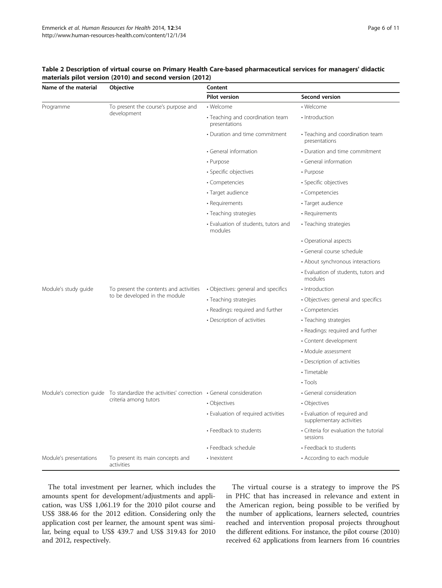| Name of the material   | Objective                                                                                                            | Content                                                             |                                                          |  |
|------------------------|----------------------------------------------------------------------------------------------------------------------|---------------------------------------------------------------------|----------------------------------------------------------|--|
|                        |                                                                                                                      | <b>Pilot version</b>                                                | Second version                                           |  |
| Programme              | To present the course's purpose and<br>development                                                                   | • Welcome                                                           | • Welcome                                                |  |
|                        |                                                                                                                      | • Teaching and coordination team<br>• Introduction<br>presentations |                                                          |  |
|                        |                                                                                                                      | • Duration and time commitment                                      | • Teaching and coordination team<br>presentations        |  |
|                        |                                                                                                                      | • General information                                               | • Duration and time commitment                           |  |
|                        |                                                                                                                      | • Purpose                                                           | • General information                                    |  |
|                        |                                                                                                                      | · Specific objectives                                               | • Purpose                                                |  |
|                        |                                                                                                                      | • Competencies                                                      | · Specific objectives                                    |  |
|                        |                                                                                                                      | · Target audience                                                   | • Competencies                                           |  |
|                        |                                                                                                                      | • Requirements                                                      | · Target audience                                        |  |
|                        |                                                                                                                      | • Teaching strategies                                               | • Requirements                                           |  |
|                        |                                                                                                                      | · Evaluation of students, tutors and<br>modules                     | • Teaching strategies                                    |  |
|                        |                                                                                                                      |                                                                     | • Operational aspects                                    |  |
|                        |                                                                                                                      |                                                                     | • General course schedule                                |  |
|                        |                                                                                                                      |                                                                     | • About synchronous interactions                         |  |
|                        |                                                                                                                      |                                                                     | • Evaluation of students, tutors and<br>modules          |  |
| Module's study guide   | To present the contents and activities<br>to be developed in the module                                              | • Objectives: general and specifics                                 | • Introduction                                           |  |
|                        |                                                                                                                      | • Teaching strategies                                               | · Objectives: general and specifics                      |  |
|                        |                                                                                                                      | • Readings: required and further                                    | • Competencies                                           |  |
|                        |                                                                                                                      | • Description of activities                                         | • Teaching strategies                                    |  |
|                        |                                                                                                                      |                                                                     | • Readings: required and further                         |  |
|                        |                                                                                                                      |                                                                     | • Content development                                    |  |
|                        |                                                                                                                      |                                                                     | • Module assessment                                      |  |
|                        |                                                                                                                      |                                                                     | • Description of activities                              |  |
|                        |                                                                                                                      |                                                                     | · Timetable                                              |  |
|                        |                                                                                                                      |                                                                     | $\cdot$ Tools                                            |  |
|                        | Module's correction guide To standardize the activities' correction • General consideration<br>criteria among tutors |                                                                     | • General consideration                                  |  |
|                        |                                                                                                                      | • Objectives                                                        | • Objectives                                             |  |
|                        |                                                                                                                      | • Evaluation of required activities                                 | • Evaluation of required and<br>supplementary activities |  |
|                        |                                                                                                                      | • Feedback to students                                              | • Criteria for evaluation the tutorial<br>sessions       |  |
|                        |                                                                                                                      | • Feedback schedule                                                 | • Feedback to students                                   |  |
| Module's presentations | To present its main concepts and<br>activities                                                                       | • Inexistent                                                        | • According to each module                               |  |

# <span id="page-5-0"></span>Table 2 Description of virtual course on Primary Health Care-based pharmaceutical services for managers' didactic materials pilot version (2010) and second version (2012)

The total investment per learner, which includes the amounts spent for development/adjustments and application, was US\$ 1,061.19 for the 2010 pilot course and US\$ 388.46 for the 2012 edition. Considering only the application cost per learner, the amount spent was similar, being equal to US\$ 439.7 and US\$ 319.43 for 2010 and 2012, respectively.

The virtual course is a strategy to improve the PS in PHC that has increased in relevance and extent in the American region, being possible to be verified by the number of applications, learners selected, countries reached and intervention proposal projects throughout the different editions. For instance, the pilot course (2010) received 62 applications from learners from 16 countries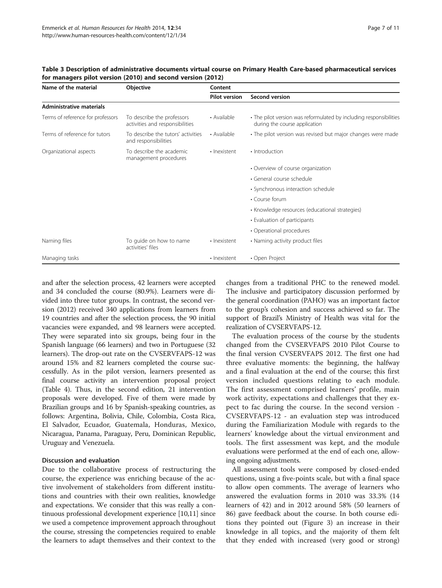| Name of the material              | Objective                                                     | Content              |                                                                                                     |
|-----------------------------------|---------------------------------------------------------------|----------------------|-----------------------------------------------------------------------------------------------------|
|                                   |                                                               | <b>Pilot version</b> | Second version                                                                                      |
| <b>Administrative materials</b>   |                                                               |                      |                                                                                                     |
| Terms of reference for professors | To describe the professors<br>activities and responsibilities | • Available          | • The pilot version was reformulated by including responsibilities<br>during the course application |
| Terms of reference for tutors     | To describe the tutors' activities<br>and responsibilities    | • Available          | • The pilot version was revised but major changes were made                                         |
| Organizational aspects            | To describe the academic<br>management procedures             | • Inexistent         | • Introduction                                                                                      |
|                                   |                                                               |                      | • Overview of course organization                                                                   |
|                                   |                                                               |                      | • General course schedule                                                                           |
|                                   |                                                               |                      | • Synchronous interaction schedule                                                                  |
|                                   |                                                               |                      | • Course forum                                                                                      |
|                                   |                                                               |                      | • Knowledge resources (educational strategies)                                                      |
|                                   |                                                               |                      | • Evaluation of participants                                                                        |
|                                   |                                                               |                      | • Operational procedures                                                                            |
| Naming files                      | To quide on how to name<br>activities' files                  | • Inexistent         | • Naming activity product files                                                                     |
| Managing tasks                    |                                                               | • Inexistent         | • Open Project                                                                                      |

<span id="page-6-0"></span>Table 3 Description of administrative documents virtual course on Primary Health Care-based pharmaceutical services for managers pilot version (2010) and second version (2012)

and after the selection process, 42 learners were accepted and 34 concluded the course (80.9%). Learners were divided into three tutor groups. In contrast, the second version (2012) received 340 applications from learners from 19 countries and after the selection process, the 90 initial vacancies were expanded, and 98 learners were accepted. They were separated into six groups, being four in the Spanish language (66 learners) and two in Portuguese (32 learners). The drop-out rate on the CVSERVFAPS-12 was around 15% and 82 learners completed the course successfully. As in the pilot version, learners presented as final course activity an intervention proposal project (Table [4](#page-7-0)). Thus, in the second edition, 21 intervention proposals were developed. Five of them were made by Brazilian groups and 16 by Spanish-speaking countries, as follows: Argentina, Bolivia, Chile, Colombia, Costa Rica, El Salvador, Ecuador, Guatemala, Honduras, Mexico, Nicaragua, Panama, Paraguay, Peru, Dominican Republic, Uruguay and Venezuela.

# Discussion and evaluation

Due to the collaborative process of restructuring the course, the experience was enriching because of the active involvement of stakeholders from different institutions and countries with their own realities, knowledge and expectations. We consider that this was really a continuous professional development experience [\[10,11](#page-10-0)] since we used a competence improvement approach throughout the course, stressing the competencies required to enable the learners to adapt themselves and their context to the changes from a traditional PHC to the renewed model. The inclusive and participatory discussion performed by the general coordination (PAHO) was an important factor to the group's cohesion and success achieved so far. The support of Brazil's Ministry of Health was vital for the realization of CVSERVFAPS-12.

The evaluation process of the course by the students changed from the CVSERVFAPS 2010 Pilot Course to the final version CVSERVFAPS 2012. The first one had three evaluative moments: the beginning, the halfway and a final evaluation at the end of the course; this first version included questions relating to each module. The first assessment comprised learners' profile, main work activity, expectations and challenges that they expect to fac during the course. In the second version - CVSERVFAPS-12 - an evaluation step was introduced during the Familiarization Module with regards to the learners' knowledge about the virtual environment and tools. The first assessment was kept, and the module evaluations were performed at the end of each one, allowing ongoing adjustments.

All assessment tools were composed by closed-ended questions, using a five-points scale, but with a final space to allow open comments. The average of learners who answered the evaluation forms in 2010 was 33.3% (14 learners of 42) and in 2012 around 58% (50 learners of 86) gave feedback about the course. In both course editions they pointed out (Figure [3](#page-8-0)) an increase in their knowledge in all topics, and the majority of them felt that they ended with increased (very good or strong)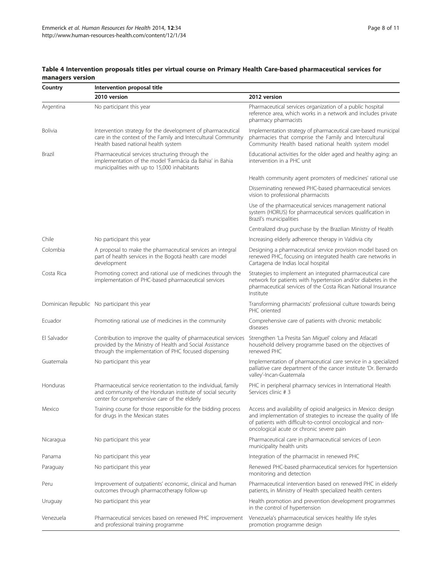| Country        | Intervention proposal title                                                                                                                                                        |                                                                                                                                                                                                                                              |
|----------------|------------------------------------------------------------------------------------------------------------------------------------------------------------------------------------|----------------------------------------------------------------------------------------------------------------------------------------------------------------------------------------------------------------------------------------------|
|                | 2010 version                                                                                                                                                                       | 2012 version                                                                                                                                                                                                                                 |
| Argentina      | No participant this year                                                                                                                                                           | Pharmaceutical services organization of a public hospital<br>reference area, which works in a network and includes private<br>pharmacy pharmacists                                                                                           |
| <b>Bolivia</b> | Intervention strategy for the development of pharmaceutical<br>care in the context of the Family and Intercultural Community<br>Health based national health system                | Implementation strategy of pharmaceutical care-based municipal<br>pharmacies that comprise the Family and Intercultural<br>Community Health based national health system model                                                               |
| Brazil         | Pharmaceutical services structuring through the<br>implementation of the model 'Farmácia da Bahia' in Bahia<br>municipalities with up to 15,000 inhabitants                        | Educational activities for the older aged and healthy aging: an<br>intervention in a PHC unit                                                                                                                                                |
|                |                                                                                                                                                                                    | Health community agent promoters of medicines' rational use                                                                                                                                                                                  |
|                |                                                                                                                                                                                    | Disseminating renewed PHC-based pharmaceutical services<br>vision to professional pharmacists                                                                                                                                                |
|                |                                                                                                                                                                                    | Use of the pharmaceutical services management national<br>system (HORUS) for pharmaceutical services qualification in<br>Brazil's municipalities                                                                                             |
|                |                                                                                                                                                                                    | Centralized drug purchase by the Brazilian Ministry of Health                                                                                                                                                                                |
| Chile          | No participant this year                                                                                                                                                           | Increasing elderly adherence therapy in Valdivia city                                                                                                                                                                                        |
| Colombia       | A proposal to make the pharmaceutical services an integral<br>part of health services in the Bogotá health care model<br>development                                               | Designing a pharmaceutical service provision model based on<br>renewed PHC, focusing on integrated health care networks in<br>Cartagena de Indias local hospital                                                                             |
| Costa Rica     | Promoting correct and rational use of medicines through the<br>implementation of PHC-based pharmaceutical services                                                                 | Strategies to implement an integrated pharmaceutical care<br>network for patients with hypertension and/or diabetes in the<br>pharmaceutical services of the Costa Rican National Insurance<br>Institute                                     |
|                | Dominican Republic No participant this year                                                                                                                                        | Transforming pharmacists' professional culture towards being<br>PHC oriented                                                                                                                                                                 |
| Ecuador        | Promoting rational use of medicines in the community                                                                                                                               | Comprehensive care of patients with chronic metabolic<br>diseases                                                                                                                                                                            |
| El Salvador    | Contribution to improve the quality of pharmaceutical services<br>provided by the Ministry of Health and Social Assistance<br>through the implementation of PHC focused dispensing | Strengthen 'La Presita San Miguel' colony and Atlacatl<br>household delivery programme based on the objectives of<br>renewed PHC                                                                                                             |
| Guatemala      | No participant this year                                                                                                                                                           | Implementation of pharmaceutical care service in a specialized<br>palliative care department of the cancer institute 'Dr. Bernardo<br>valley'-Incan-Guatemala                                                                                |
| Honduras       | Pharmaceutical service reorientation to the individual, family<br>and community of the Honduran institute of social security<br>center for comprehensive care of the elderly       | PHC in peripheral pharmacy services in International Health<br>Services clinic # 3                                                                                                                                                           |
| Mexico         | Training course for those responsible for the bidding process<br>for drugs in the Mexican states                                                                                   | Access and availability of opioid analgesics in Mexico: design<br>and implementation of strategies to increase the quality of life<br>of patients with difficult-to-control oncological and non-<br>oncological acute or chronic severe pain |
| Nicaragua      | No participant this year                                                                                                                                                           | Pharmaceutical care in pharmaceutical services of Leon<br>municipality health units                                                                                                                                                          |
| Panama         | No participant this year                                                                                                                                                           | Integration of the pharmacist in renewed PHC                                                                                                                                                                                                 |
| Paraguay       | No participant this year                                                                                                                                                           | Renewed PHC-based pharmaceutical services for hypertension<br>monitoring and detection                                                                                                                                                       |
| Peru           | Improvement of outpatients' economic, clinical and human<br>outcomes through pharmacotherapy follow-up                                                                             | Pharmaceutical intervention based on renewed PHC in elderly<br>patients, in Ministry of Health specialized health centers                                                                                                                    |
| Uruguay        | No participant this year                                                                                                                                                           | Health promotion and prevention development programmes<br>in the control of hypertension                                                                                                                                                     |
| Venezuela      | Pharmaceutical services based on renewed PHC improvement<br>and professional training programme                                                                                    | Venezuela's pharmaceutical services healthy life styles<br>promotion programme design                                                                                                                                                        |

# <span id="page-7-0"></span>Table 4 Intervention proposals titles per virtual course on Primary Health Care-based pharmaceutical services for managers version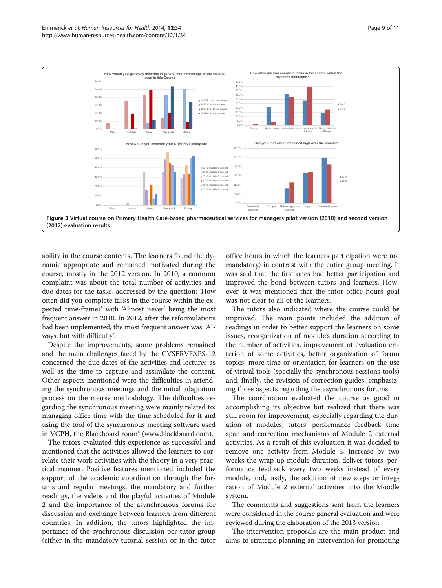<span id="page-8-0"></span>

ability in the course contents. The learners found the dynamic appropriate and remained motivated during the course, mostly in the 2012 version. In 2010, a common complaint was about the total number of activities and due dates for the tasks, addressed by the question: 'How often did you complete tasks in the course within the expected time-frame?' with 'Almost never' being the most frequent answer in 2010. In 2012, after the reformulations had been implemented, the most frequent answer was: 'Always, but with difficulty'.

Despite the improvements, some problems remained and the main challenges faced by the CVSERVFAPS-12 concerned the due dates of the activities and lectures as well as the time to capture and assimilate the content. Other aspects mentioned were the difficulties in attending the synchronous meetings and the initial adaptation process on the course methodology. The difficulties regarding the synchronous meeting were mainly related to: managing office time with the time scheduled for it and using the tool of the synchronous meeting software used in VCPH, the Blackboard room® ([www.blackboard.com](http://www.blackboard.com)).

The tutors evaluated this experience as successful and mentioned that the activities allowed the learners to correlate their work activities with the theory in a very practical manner. Positive features mentioned included the support of the academic coordination through the forums and regular meetings, the mandatory and further readings, the videos and the playful activities of Module 2 and the importance of the asynchronous forums for discussion and exchange between learners from different countries. In addition, the tutors highlighted the importance of the synchronous discussion per tutor group (either in the mandatory tutorial session or in the tutor

office hours in which the learners participation were not mandatory) in contrast with the entire group meeting. It was said that the first ones had better participation and improved the bond between tutors and learners. However, it was mentioned that the tutor office hours' goal was not clear to all of the learners.

The tutors also indicated where the course could be improved. The main points included the addition of readings in order to better support the learners on some issues, reorganization of module's duration according to the number of activities, improvement of evaluation criterion of some activities, better organization of forum topics, more time or orientation for learners on the use of virtual tools (specially the synchronous sessions tools) and, finally, the revision of correction guides, emphasizing those aspects regarding the asynchronous forums.

The coordination evaluated the course as good in accomplishing its objective but realized that there was still room for improvement, especially regarding the duration of modules, tutors' performance feedback time span and correction mechanisms of Module 2 external activities. As a result of this evaluation it was decided to remove one activity from Module 3, increase by two weeks the wrap-up module duration, deliver tutors' performance feedback every two weeks instead of every module, and, lastly, the addition of new steps or integration of Module 2 external activities into the Moodle system.

The comments and suggestions sent from the learners were considered in the course general evaluation and were reviewed during the elaboration of the 2013 version.

The intervention proposals are the main product and aims to strategic planning an intervention for promoting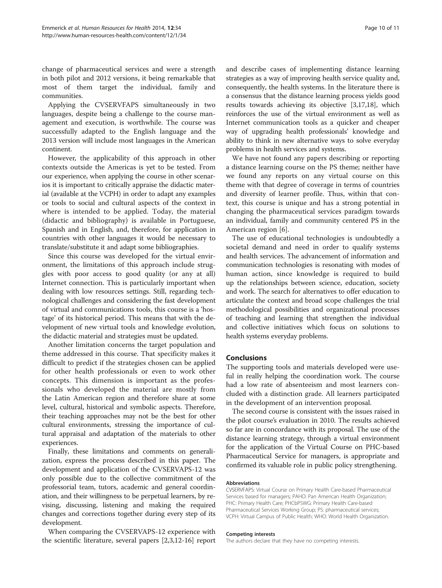change of pharmaceutical services and were a strength in both pilot and 2012 versions, it being remarkable that most of them target the individual, family and communities.

Applying the CVSERVFAPS simultaneously in two languages, despite being a challenge to the course management and execution, is worthwhile. The course was successfully adapted to the English language and the 2013 version will include most languages in the American continent.

However, the applicability of this approach in other contexts outside the Americas is yet to be tested. From our experience, when applying the course in other scenarios it is important to critically appraise the didactic material (available at the VCPH) in order to adapt any examples or tools to social and cultural aspects of the context in where is intended to be applied. Today, the material (didactic and bibliography) is available in Portuguese, Spanish and in English, and, therefore, for application in countries with other languages it would be necessary to translate/substitute it and adapt some bibliographies.

Since this course was developed for the virtual environment, the limitations of this approach include struggles with poor access to good quality (or any at all) Internet connection. This is particularly important when dealing with low resources settings. Still, regarding technological challenges and considering the fast development of virtual and communications tools, this course is a 'hostage' of its historical period. This means that with the development of new virtual tools and knowledge evolution, the didactic material and strategies must be updated.

Another limitation concerns the target population and theme addressed in this course. That specificity makes it difficult to predict if the strategies chosen can be applied for other health professionals or even to work other concepts. This dimension is important as the professionals who developed the material are mostly from the Latin American region and therefore share at some level, cultural, historical and symbolic aspects. Therefore, their teaching approaches may not be the best for other cultural environments, stressing the importance of cultural appraisal and adaptation of the materials to other experiences.

Finally, these limitations and comments on generalization, express the process described in this paper. The development and application of the CVSERVAPS-12 was only possible due to the collective commitment of the professorial team, tutors, academic and general coordination, and their willingness to be perpetual learners, by revising, discussing, listening and making the required changes and corrections together during every step of its development.

When comparing the CVSERVAPS-12 experience with the scientific literature, several papers [\[2,3,12](#page-10-0)-[16](#page-10-0)] report

and describe cases of implementing distance learning strategies as a way of improving health service quality and, consequently, the health systems. In the literature there is a consensus that the distance learning process yields good results towards achieving its objective [[3,17,18\]](#page-10-0), which reinforces the use of the virtual environment as well as Internet communication tools as a quicker and cheaper way of upgrading health professionals' knowledge and ability to think in new alternative ways to solve everyday problems in health services and systems.

We have not found any papers describing or reporting a distance learning course on the PS theme; neither have we found any reports on any virtual course on this theme with that degree of coverage in terms of countries and diversity of learner profile. Thus, within that context, this course is unique and has a strong potential in changing the pharmaceutical services paradigm towards an individual, family and community centered PS in the American region [[6\]](#page-10-0).

The use of educational technologies is undoubtedly a societal demand and need in order to qualify systems and health services. The advancement of information and communication technologies is resonating with modes of human action, since knowledge is required to build up the relationships between science, education, society and work. The search for alternatives to offer education to articulate the context and broad scope challenges the trial methodological possibilities and organizational processes of teaching and learning that strengthen the individual and collective initiatives which focus on solutions to health systems everyday problems.

### Conclusions

The supporting tools and materials developed were useful in really helping the coordination work. The course had a low rate of absenteeism and most learners concluded with a distinction grade. All learners participated in the development of an intervention proposal.

The second course is consistent with the issues raised in the pilot course's evaluation in 2010. The results achieved so far are in concordance with its proposal. The use of the distance learning strategy, through a virtual environment for the application of the Virtual Course on PHC-based Pharmaceutical Service for managers, is appropriate and confirmed its valuable role in public policy strengthening.

#### Abbreviations

CVSERVFAPS: Virtual Course on Primary Health Care-based Pharmaceutical Services based for managers; PAHO: Pan American Health Organization; PHC: Primary Health Care; PHCbPSWG: Primary Health Care-based Pharmaceutical Services Working Group; PS: pharmaceutical services; VCPH: Virtual Campus of Public Health; WHO: World Health Organization.

#### Competing interests

The authors declare that they have no competing interests.